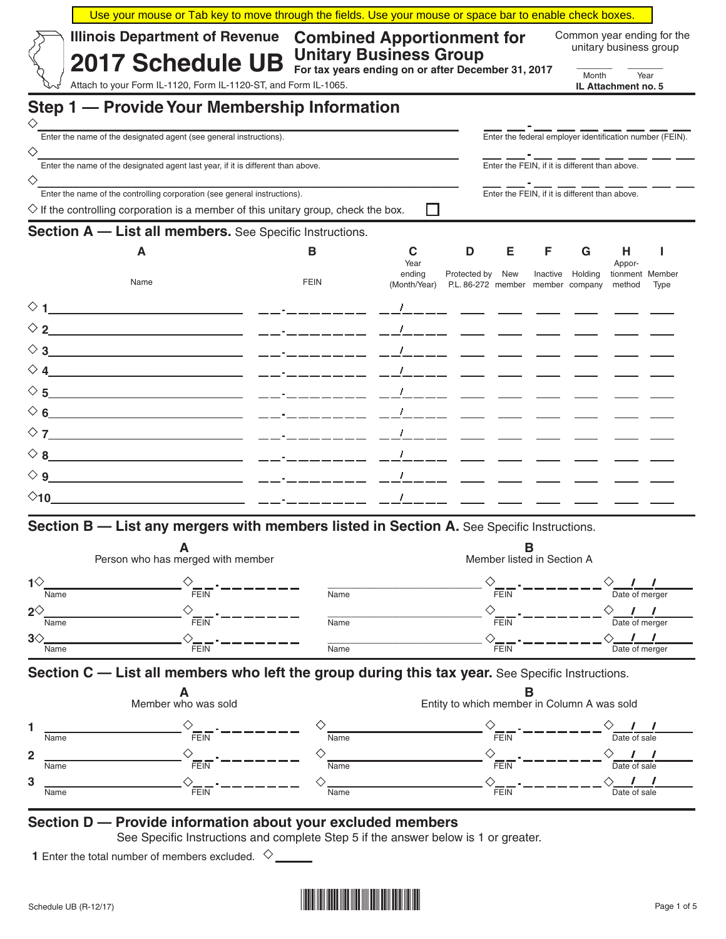|                             | <b>Illinois Department of Revenue</b><br><b>2017 Schedule UB</b>                                                                                                             | <b>Combined Apportionment for</b><br><b>Unitary Business Group</b> |                |                                             |                            |                            | Common year ending for the                                                                                                                                                                                                                                                                                          | unitary business group          |      |
|-----------------------------|------------------------------------------------------------------------------------------------------------------------------------------------------------------------------|--------------------------------------------------------------------|----------------|---------------------------------------------|----------------------------|----------------------------|---------------------------------------------------------------------------------------------------------------------------------------------------------------------------------------------------------------------------------------------------------------------------------------------------------------------|---------------------------------|------|
|                             | Attach to your Form IL-1120, Form IL-1120-ST, and Form IL-1065.                                                                                                              | For tax years ending on or after December 31, 2017                 |                |                                             |                            |                            | Month                                                                                                                                                                                                                                                                                                               |                                 | Year |
|                             |                                                                                                                                                                              |                                                                    |                |                                             |                            |                            |                                                                                                                                                                                                                                                                                                                     | IL Attachment no. 5             |      |
| ♦                           | Step 1 - Provide Your Membership Information                                                                                                                                 |                                                                    |                |                                             |                            |                            |                                                                                                                                                                                                                                                                                                                     |                                 |      |
|                             | Enter the name of the designated agent (see general instructions).                                                                                                           |                                                                    |                |                                             |                            |                            | - --- --- -<br>Enter the federal employer identification number (FEIN).                                                                                                                                                                                                                                             |                                 |      |
|                             | Enter the name of the designated agent last year, if it is different than above.                                                                                             |                                                                    |                |                                             |                            |                            | $\frac{1}{\text{Enter the FEIN, if it is different than above.}}$                                                                                                                                                                                                                                                   |                                 |      |
|                             |                                                                                                                                                                              |                                                                    |                |                                             |                            |                            | $\frac{1}{2}$ $\frac{1}{2}$ $\frac{1}{2}$ $\frac{1}{2}$ $\frac{1}{2}$ $\frac{1}{2}$ $\frac{1}{2}$ $\frac{1}{2}$ $\frac{1}{2}$ $\frac{1}{2}$ $\frac{1}{2}$ $\frac{1}{2}$ $\frac{1}{2}$ $\frac{1}{2}$ $\frac{1}{2}$ $\frac{1}{2}$ $\frac{1}{2}$ $\frac{1}{2}$ $\frac{1}{2}$ $\frac{1}{2}$ $\frac{1}{2}$ $\frac{1}{2}$ |                                 |      |
|                             | Enter the name of the controlling corporation (see general instructions).<br>$\diamondsuit$ If the controlling corporation is a member of this unitary group, check the box. |                                                                    | $\blacksquare$ |                                             |                            |                            |                                                                                                                                                                                                                                                                                                                     |                                 |      |
|                             | <b>Section A - List all members.</b> See Specific Instructions.                                                                                                              |                                                                    |                |                                             |                            |                            |                                                                                                                                                                                                                                                                                                                     |                                 |      |
|                             | А                                                                                                                                                                            | В                                                                  | C              | D                                           | Е                          | F.                         | G                                                                                                                                                                                                                                                                                                                   | Н.                              | J.   |
|                             |                                                                                                                                                                              |                                                                    | Year<br>endina | Protected by New                            |                            |                            | Inactive Holding                                                                                                                                                                                                                                                                                                    | Appor-<br>tionment Member       |      |
|                             | Name                                                                                                                                                                         | <b>FEIN</b>                                                        | (Month/Year)   | P.L. 86-272 member member company           |                            |                            |                                                                                                                                                                                                                                                                                                                     | method                          | Type |
|                             |                                                                                                                                                                              |                                                                    |                |                                             |                            |                            |                                                                                                                                                                                                                                                                                                                     |                                 |      |
|                             |                                                                                                                                                                              |                                                                    |                |                                             |                            |                            |                                                                                                                                                                                                                                                                                                                     |                                 |      |
|                             |                                                                                                                                                                              |                                                                    |                |                                             |                            |                            |                                                                                                                                                                                                                                                                                                                     |                                 |      |
|                             |                                                                                                                                                                              |                                                                    |                |                                             |                            |                            |                                                                                                                                                                                                                                                                                                                     |                                 |      |
|                             |                                                                                                                                                                              |                                                                    |                |                                             |                            |                            |                                                                                                                                                                                                                                                                                                                     |                                 |      |
|                             |                                                                                                                                                                              |                                                                    |                |                                             |                            |                            |                                                                                                                                                                                                                                                                                                                     |                                 |      |
|                             |                                                                                                                                                                              |                                                                    |                |                                             |                            |                            |                                                                                                                                                                                                                                                                                                                     |                                 |      |
|                             |                                                                                                                                                                              |                                                                    |                |                                             |                            |                            |                                                                                                                                                                                                                                                                                                                     |                                 |      |
|                             |                                                                                                                                                                              |                                                                    |                |                                             |                            |                            |                                                                                                                                                                                                                                                                                                                     |                                 |      |
|                             |                                                                                                                                                                              |                                                                    |                |                                             |                            |                            |                                                                                                                                                                                                                                                                                                                     |                                 |      |
|                             | Section B - List any mergers with members listed in Section A. See Specific Instructions.                                                                                    |                                                                    |                |                                             |                            |                            |                                                                                                                                                                                                                                                                                                                     |                                 |      |
|                             | A                                                                                                                                                                            |                                                                    |                |                                             |                            | B                          |                                                                                                                                                                                                                                                                                                                     |                                 |      |
|                             | Person who has merged with member                                                                                                                                            |                                                                    |                |                                             |                            | Member listed in Section A |                                                                                                                                                                                                                                                                                                                     |                                 |      |
| $\mathbf{1}^{\diamondsuit}$ |                                                                                                                                                                              |                                                                    |                |                                             |                            |                            |                                                                                                                                                                                                                                                                                                                     |                                 |      |
| Name<br>$2^\diamondsuit$    | FEIN                                                                                                                                                                         | Name                                                               |                |                                             |                            |                            |                                                                                                                                                                                                                                                                                                                     | Date of merger<br>$\sqrt{1}$    |      |
| Name                        | FEIN                                                                                                                                                                         | Name                                                               |                |                                             |                            |                            |                                                                                                                                                                                                                                                                                                                     | Date of merger                  |      |
| $3\diamond$<br>Name         | .<br>FEIN                                                                                                                                                                    | Name                                                               |                |                                             | $\diamond$ <sub>FEIN</sub> |                            |                                                                                                                                                                                                                                                                                                                     | $\sqrt{1}$<br>Date of merger    |      |
|                             | Section C - List all members who left the group during this tax year. See Specific Instructions.                                                                             |                                                                    |                |                                             |                            |                            |                                                                                                                                                                                                                                                                                                                     |                                 |      |
|                             |                                                                                                                                                                              |                                                                    |                |                                             |                            | в                          |                                                                                                                                                                                                                                                                                                                     |                                 |      |
|                             | Member who was sold                                                                                                                                                          |                                                                    |                | Entity to which member in Column A was sold |                            |                            |                                                                                                                                                                                                                                                                                                                     |                                 |      |
| Name                        | <b>FEIN</b>                                                                                                                                                                  | ◇<br>Name                                                          |                |                                             | <b>FEIN</b>                |                            |                                                                                                                                                                                                                                                                                                                     | Date of sale                    |      |
|                             |                                                                                                                                                                              |                                                                    |                |                                             |                            |                            |                                                                                                                                                                                                                                                                                                                     | $\frac{1}{\text{Date of sale}}$ |      |
| Name                        | FEIN                                                                                                                                                                         | Name                                                               |                |                                             | <b>FEIN</b>                |                            |                                                                                                                                                                                                                                                                                                                     |                                 |      |
| Name                        | <b>FEIN</b>                                                                                                                                                                  | Name                                                               |                |                                             | FEIN                       |                            |                                                                                                                                                                                                                                                                                                                     |                                 |      |

See Specific Instructions and complete Step 5 if the answer below is 1 or greater.

**1** Enter the total number of members excluded.  $\Diamond$ 

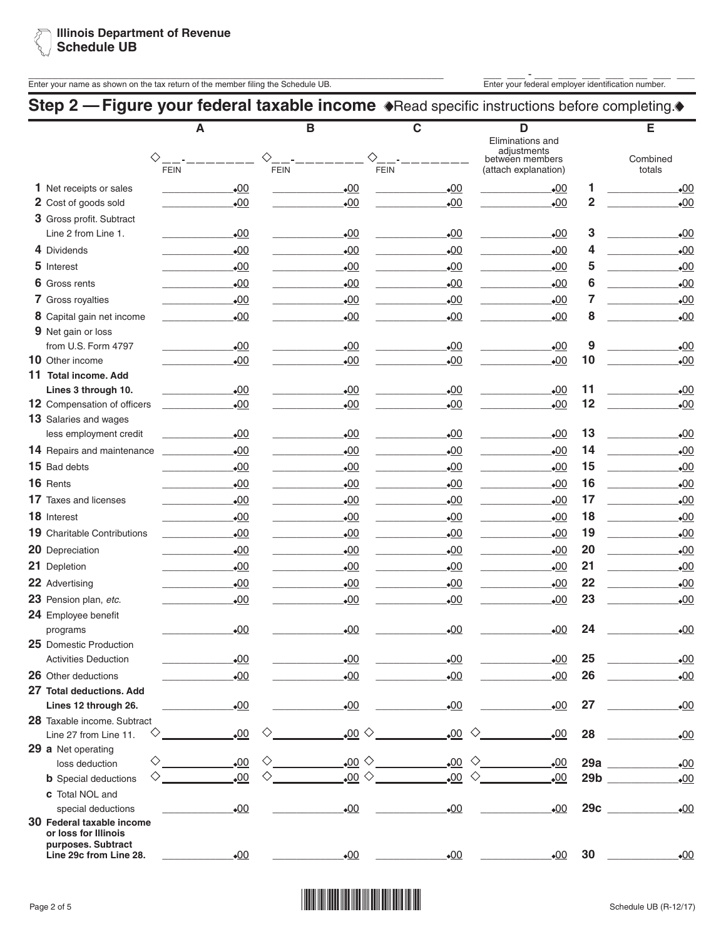

Enter your name as shown on the tax return of the member filing the Schedule UB.<br>Enter your federal employer identification number.

## **Step 2 - Figure your federal taxable income .** Read specific instructions before completing.

|                                                   | A                | B                               | $\mathbf C$           | D<br>Eliminations and                                  |                         | E                  |
|---------------------------------------------------|------------------|---------------------------------|-----------------------|--------------------------------------------------------|-------------------------|--------------------|
| ◇                                                 | <b>FEIN</b>      | ♦<br><b>FEIN</b><br><b>FEIN</b> |                       | adjustments<br>between members<br>(attach explanation) |                         | Combined<br>totals |
| 1 Net receipts or sales                           | $-00$            | $-00$                           | $-00$                 | $\bullet$ 00                                           | 1                       | $\cdot 00$         |
| 2 Cost of goods sold                              | $-00$            | $-00$                           | $\bullet$ 00          | $-00$                                                  | $\overline{\mathbf{2}}$ | $\cdot 00$         |
| 3 Gross profit. Subtract                          |                  |                                 |                       |                                                        |                         |                    |
| Line 2 from Line 1.                               | $_{\bullet}00$   | $_{\bullet}00$                  | $_{\bullet}00$        | $_{\bullet}00$                                         | 3                       | $\cdot 00$         |
| 4 Dividends                                       | $-00$            | .00                             | .00                   | .00                                                    | 4                       | $\cdot 00$         |
| 5 Interest                                        | $-00$            | $\underline{00}$                | .00                   | $\cdot 00$                                             | 5                       | $\cdot 00$         |
| 6 Gross rents                                     | .00              | .00                             | .00                   | .00                                                    | 6                       | $\cdot 00$         |
| 7 Gross royalties                                 | $-00$            | $\underline{00}$                | $\underline{00}$      | $\underline{\bullet 00}$                               | 7                       | $\cdot 00$         |
|                                                   |                  |                                 |                       |                                                        | 8                       | $\cdot 00$         |
| 8 Capital gain net income<br>9 Net gain or loss   | $-00$            | $-00$                           | $-00$                 | .00                                                    |                         |                    |
| from U.S. Form 4797                               | $_{\bullet}00$   | .00                             | $_{\bullet}00$        | $_{\bullet}00$                                         | 9                       | $\cdot 00$         |
| 10 Other income                                   | $\bullet$ 00     | .00                             | .00                   | .00                                                    | 10                      | $\cdot 00$         |
| 11 Total income, Add                              |                  |                                 |                       |                                                        |                         |                    |
| Lines 3 through 10.                               | $-00$            | .00                             | $-00$                 | $\underline{\bullet 00}$                               | 11                      | $\cdot 00$         |
| 12 Compensation of officers                       | $-00$            | .00                             | .00                   | $-00$                                                  | 12                      | $\cdot 00$         |
| 13 Salaries and wages                             |                  |                                 |                       |                                                        |                         |                    |
| less employment credit                            | $-00$            | $\cdot 00$                      | $-00$                 | $_{\bullet}00$                                         | 13                      | $\cdot 00$         |
| 14 Repairs and maintenance                        | .00              | 00                              | .00                   | .00                                                    | 14                      | $\cdot 00$         |
| 15 Bad debts                                      | $-00$            | .00                             | $\underline{00}$      | $_{\bullet}00$                                         | 15                      | $\cdot 00$         |
| 16 Rents                                          | $-00$            | $\cdot 00$                      | $-00$                 | $-00$                                                  | 16                      | $\cdot 00$         |
| 17 Taxes and licenses                             | .00              | 00                              | $\underline{00}$      | .00                                                    | 17                      | $\cdot 00$         |
| 18 Interest                                       | $-00$            | .00                             | $-00$                 | $_{\bullet}00$                                         | 18                      | $\cdot 00$         |
| <b>19</b> Charitable Contributions                | $-00$            | $\cdot 00$                      | $-00$                 | $-00$                                                  | 19                      | $\cdot 00$         |
| 20 Depreciation                                   | $\cdot 00$       | .00                             | .00                   | .00                                                    | 20                      | $\cdot 00$         |
| 21 Depletion                                      | .00              | $_{\bullet}00$                  | .00                   | $_{\bullet}00$                                         | 21                      | $\cdot 00$         |
| 22 Advertising                                    | $-00$            | $\cdot 00$                      | $-00$                 | $-00$                                                  | 22                      | $\cdot 00$         |
| 23 Pension plan, etc.                             | $\underline{00}$ | .00                             | $\underline{00}$      | $\cdot 00$                                             | 23                      | $\cdot 00$         |
| 24 Employee benefit                               |                  |                                 |                       |                                                        |                         |                    |
| programs                                          | $\bullet$ 00     | $-00$                           | $-00$                 | •00                                                    | 24                      | $\bullet$ 00       |
| 25 Domestic Production                            |                  |                                 |                       |                                                        |                         |                    |
| <b>Activities Deduction</b>                       | $\underline{00}$ | $\underline{00}$                | $\underline{00}$      | .00                                                    | 25                      | $_{\bullet}00$     |
| 26 Other deductions                               | $-00$            | $\underline{00}$                | $\underline{00}$      | $-00$                                                  | 26                      | $\cdot 00$         |
| 27 Total deductions. Add                          |                  |                                 |                       |                                                        |                         |                    |
| Lines 12 through 26.                              | $\underline{00}$ | $\underline{00}$                | $\underline{00}$      | $\underline{00}$                                       | 27                      | $_{\bullet}00$     |
| 28 Taxable income. Subtract                       |                  |                                 |                       |                                                        |                         |                    |
| ◇<br>Line 27 from Line 11.                        | 00.              | <u>,00</u> ◇                    | 00.<br>◇              | .00                                                    | 28                      | $\cdot 00$         |
| 29 a Net operating                                |                  |                                 |                       |                                                        |                         |                    |
| $\diamondsuit$<br>loss deduction                  | .00              | <u>,oo</u> ◇<br>♦               | $\underline{00}$<br>♦ | .00                                                    | 29a                     | $\cdot 00$         |
| ◇<br><b>b</b> Special deductions                  | $\underline{00}$ | <u>,00</u> ◇<br>◇               | $\underline{00}$<br>♦ | $\underline{00}$                                       | 29 <sub>b</sub>         | $\cdot 00$         |
| c Total NOL and                                   |                  |                                 |                       |                                                        |                         |                    |
| special deductions                                | $-00$            | $\underline{00}$                | $-00$                 | $\underline{00}$                                       | 29c                     | $\cdot 00$         |
| 30 Federal taxable income<br>or loss for Illinois |                  |                                 |                       |                                                        |                         |                    |
| purposes. Subtract                                |                  |                                 |                       |                                                        |                         |                    |
| Line 29c from Line 28.                            | .00              | .00                             | .00                   | .00                                                    | 30                      | $\cdot 00$         |

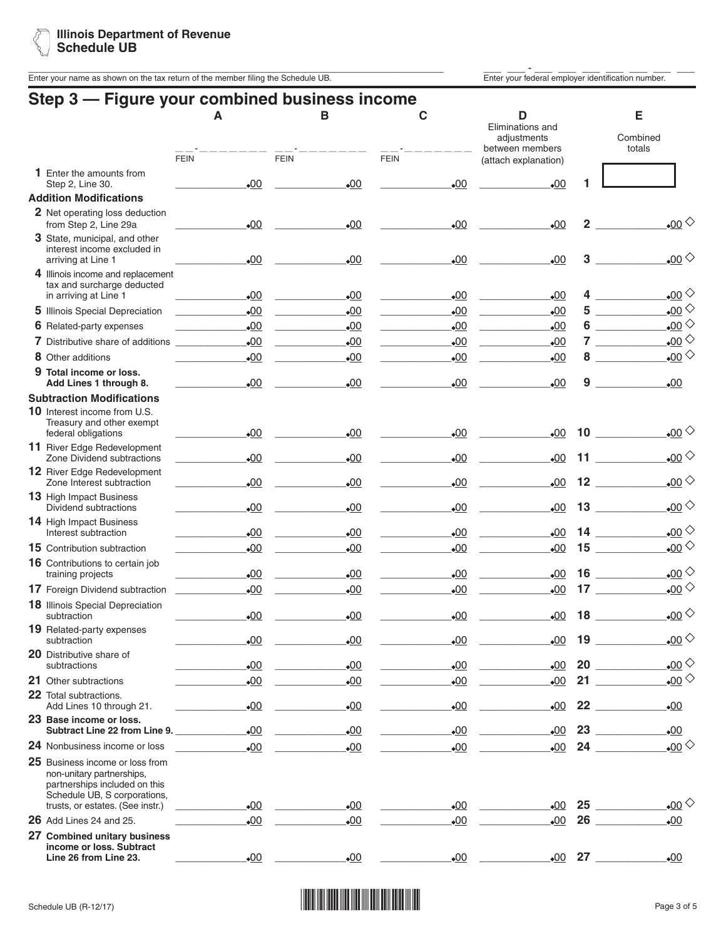Enter your name as shown on the tax return of the member filing the Schedule UB.<br>Enter your federal employer identification number.

| Step 3 — Figure your combined business income                                                                                 | Α<br><b>FEIN</b> | в<br><b>FEIN</b> | С<br><b>FEIN</b> | D<br>Eliminations and<br>adjustments<br>between members<br>(attach explanation) |                 | Е<br>Combined<br>totals                        |
|-------------------------------------------------------------------------------------------------------------------------------|------------------|------------------|------------------|---------------------------------------------------------------------------------|-----------------|------------------------------------------------|
| <b>1</b> Enter the amounts from                                                                                               |                  |                  |                  |                                                                                 |                 |                                                |
| Step 2, Line 30.<br><b>Addition Modifications</b>                                                                             | $\bullet$ 00     | $-00$            | $-00$            | $\bullet$ 00                                                                    |                 |                                                |
| 2 Net operating loss deduction<br>from Step 2, Line 29a                                                                       | $-00$            | $-00$            | $\underline{00}$ | $-00$                                                                           | $\overline{2}$  | $_{\bullet 00}$                                |
| 3 State, municipal, and other<br>interest income excluded in<br>arriving at Line 1                                            | $-00$            | $-00$            | $\underline{00}$ | $-00$                                                                           | 3               | <u>.00</u> ◇                                   |
| 4 Illinois income and replacement<br>tax and surcharge deducted                                                               |                  |                  |                  |                                                                                 |                 |                                                |
| in arriving at Line 1                                                                                                         | $-00$            | $-00$            | $-00$            | $-00$                                                                           | 4               | $_{\bullet 00}$                                |
| 5 Illinois Special Depreciation                                                                                               | $\bullet$ 00     | $\bullet$ 00     | .00              | $\bullet$ 00                                                                    | 5               | $_{\tiny \circ}$ 00 $^{\diamond}$              |
| <b>6</b> Related-party expenses                                                                                               | .00              | 00               | $-00$            | $-00$                                                                           | 6               | $_{\bullet}00$                                 |
| <b>7</b> Distributive share of additions                                                                                      | $-00$            | $-00$            | •00              | •00                                                                             | 7               | $_{\odot 00}$                                  |
| 8 Other additions                                                                                                             | .00              | $_{\bullet}00$   | $\bullet$ 00     | .00                                                                             | 8               | $_{\bullet}00$                                 |
| 9 Total income or loss.<br>Add Lines 1 through 8.                                                                             | $\bullet$ 00     | $-00$            | $-00$            | •00                                                                             | 9               | $-00$                                          |
| <b>Subtraction Modifications</b>                                                                                              |                  |                  |                  |                                                                                 |                 |                                                |
| 10 Interest income from U.S.<br>Treasury and other exempt<br>federal obligations                                              | $-00$            | 00               | .00              | $-00$                                                                           |                 | $_{\bullet}00$<br>$10$ $\qquad$                |
| 11 River Edge Redevelopment<br>Zone Dividend subtractions                                                                     | $\bullet$ 00     | $-00$            | .00              | $-00$                                                                           |                 | $_{\bullet}00$ $\diamond$<br>$11 - 1$          |
| <b>12</b> River Edge Redevelopment<br>Zone Interest subtraction                                                               | $-00$            | $-00$            | $-00$            | $\bullet$ 00                                                                    |                 | $_{\bullet}00$ $\diamond$<br>$12 \quad \qquad$ |
| 13 High Impact Business<br>Dividend subtractions                                                                              | $\bullet$ 00     | $-00$            | $-00$            | $\bullet$ 00                                                                    | 13              | $_{\bullet}00$                                 |
| <b>14</b> High Impact Business<br>Interest subtraction                                                                        | .00              | $-00$            | $-00$            | $-00$                                                                           |                 | $_{\bullet 00}$<br>$14$ $-$                    |
| <b>15</b> Contribution subtraction                                                                                            | $-00$            | $\cdot 00$       | $-00$            | $-00$                                                                           |                 | $_{\bullet}00$                                 |
| 16 Contributions to certain job<br>training projects                                                                          | .00              | $-00$            | .00              | .00                                                                             | 16              | $_{\bullet 00}$                                |
| 17 Foreign Dividend subtraction                                                                                               | .00              | $-00$            | $-00$            | $\cdot 00$                                                                      | 17 <sub>2</sub> | <u>.00</u> ◇                                   |
| 18 Illinois Special Depreciation<br>subtraction                                                                               | $-00$            | $-00$            | $-00$            | $-00$                                                                           | 18              | $_{\bullet}00$                                 |
| 19 Related-party expenses<br>subtraction                                                                                      | $-00$            | $-00$            | $\underline{00}$ | $-00$                                                                           | 19              | $_{\bullet}00^{\diamond}$                      |
| 20 Distributive share of<br>subtractions                                                                                      | $-00$            | 00               | $\underline{00}$ | $-00$                                                                           |                 | $_{\bullet 00}$<br>$20$ $\qquad$               |
| 21 Other subtractions                                                                                                         | .00              | 00               | .00              | .00                                                                             |                 | $_{\bullet}$ 00 $\diamond$<br>$21$ 21          |
| 22 Total subtractions.<br>Add Lines 10 through 21.                                                                            | .00              | 00               | $\bullet$ 00     | $-00$                                                                           |                 | 22<br>.00                                      |
| 23 Base income or loss.<br>Subtract Line 22 from Line 9.                                                                      | .00              | .00              | $\bullet$ 00     | .00                                                                             |                 | $\bullet$ 00<br>23                             |
| 24 Nonbusiness income or loss                                                                                                 | $-00$            | $-00$            | $\underline{00}$ | $\underline{00}$                                                                |                 | 24<br>$_{\bullet}$ 00 $^{\diamond}$            |
| 25 Business income or loss from<br>non-unitary partnerships,<br>partnerships included on this<br>Schedule UB, S corporations, |                  |                  |                  |                                                                                 |                 |                                                |
| trusts, or estates. (See instr.)                                                                                              | $\bullet$ 00     | .00              | .00              | .00                                                                             |                 | $_{\bullet}00 \diamondsuit$                    |
| $26$ Add Lines 24 and 25.<br>27 Combined unitary business                                                                     | $\bullet$ 00     | $-00$            | $-00$            | .00                                                                             |                 | 26<br>.00                                      |
| income or loss. Subtract<br>Line 26 from Line 23.                                                                             | $-00$            | $-00$            | $-00$            | $\bullet$ 00                                                                    |                 | $27 \quad \overline{\quad}$<br>$-00$           |

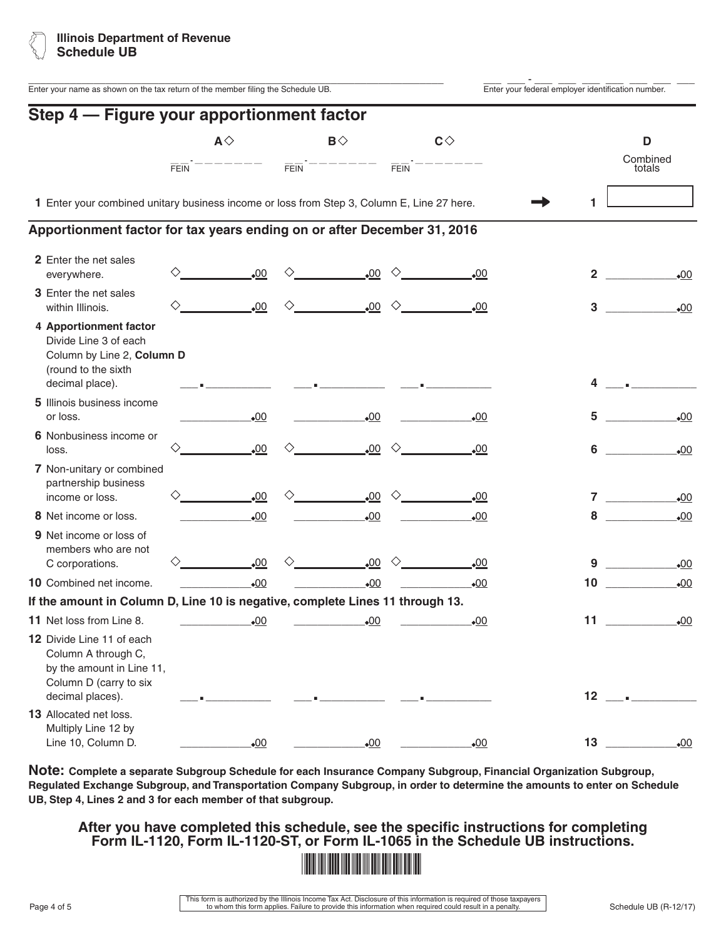

| Enter your name as shown on the tax return of the member filing the Schedule UB.                                            |                             |              |                    |                       |             |                       | Enter your federal employer identification number. |                         |
|-----------------------------------------------------------------------------------------------------------------------------|-----------------------------|--------------|--------------------|-----------------------|-------------|-----------------------|----------------------------------------------------|-------------------------|
| Step 4 - Figure your apportionment factor                                                                                   |                             |              |                    |                       |             |                       |                                                    |                         |
|                                                                                                                             | $A \Diamond$<br><b>FEIN</b> |              | $FEN$ <sup>-</sup> | $\mathsf{B} \Diamond$ | <b>FEIN</b> | $\mathbf{C} \Diamond$ |                                                    | D<br>Combined<br>totals |
| 1 Enter your combined unitary business income or loss from Step 3, Column E, Line 27 here.                                  |                             |              |                    |                       |             |                       |                                                    |                         |
| Apportionment factor for tax years ending on or after December 31, 2016                                                     |                             |              |                    |                       |             |                       |                                                    |                         |
| 2 Enter the net sales<br>everywhere.                                                                                        |                             | .00          |                    | .00                   | ◇           | .00                   | 2                                                  | $\bullet$ 00            |
| 3 Enter the net sales<br>within Illinois.                                                                                   |                             | $\bullet$ 00 |                    | .00                   | ♦           | .00                   | 3                                                  | $-00$                   |
| 4 Apportionment factor<br>Divide Line 3 of each<br>Column by Line 2, Column D<br>(round to the sixth<br>decimal place).     |                             |              |                    |                       |             |                       |                                                    |                         |
| 5 Illinois business income<br>or loss.                                                                                      |                             | $-00$        |                    | $\cdot 00$            |             | .00                   | 5                                                  | .00                     |
| 6 Nonbusiness income or<br>loss.                                                                                            |                             | .00          |                    | .00                   | ◇           | .00                   | 6                                                  | $-00$                   |
| 7 Non-unitary or combined<br>partnership business<br>income or loss.                                                        |                             | .00          |                    | .00                   | ◇           | .00                   |                                                    | .00                     |
| 8 Net income or loss.                                                                                                       |                             | $-00$        |                    | $-00$                 |             | $-00$                 | 8                                                  | $\bullet$ 00            |
| 9 Net income or loss of<br>members who are not                                                                              |                             | .00          |                    | 00 <sub>o</sub>       |             | $\bullet$ 00          | 9                                                  | $\bullet$ 00            |
| C corporations.<br>10 Combined net income.                                                                                  |                             | .00          |                    | •00                   |             | $_{\bullet}00$        | 10                                                 | $\bullet$ 00            |
| If the amount in Column D, Line 10 is negative, complete Lines 11 through 13.                                               |                             |              |                    |                       |             |                       |                                                    |                         |
| 11 Net loss from Line 8.                                                                                                    |                             | $-00$        |                    | $\cdot 00$            |             | $-00$                 | 11                                                 | $\underline{00}$        |
| 12 Divide Line 11 of each<br>Column A through C,<br>by the amount in Line 11,<br>Column D (carry to six<br>decimal places). |                             |              |                    |                       |             |                       | 12                                                 |                         |
| 13 Allocated net loss.<br>Multiply Line 12 by<br>Line 10, Column D.                                                         |                             | .00          |                    | .00                   |             | .00                   | 13                                                 | .00                     |

**Note: Complete a separate Subgroup Schedule for each Insurance Company Subgroup, Financial Organization Subgroup, Regulated Exchange Subgroup, and Transportation Company Subgroup, in order to determine the amounts to enter on Schedule UB, Step 4, Lines 2 and 3 for each member of that subgroup.**

**After you have completed this schedule, see the specific instructions for completing Form IL-1120, Form IL-1120-ST, or Form IL-1065 in the Schedule UB instructions.**